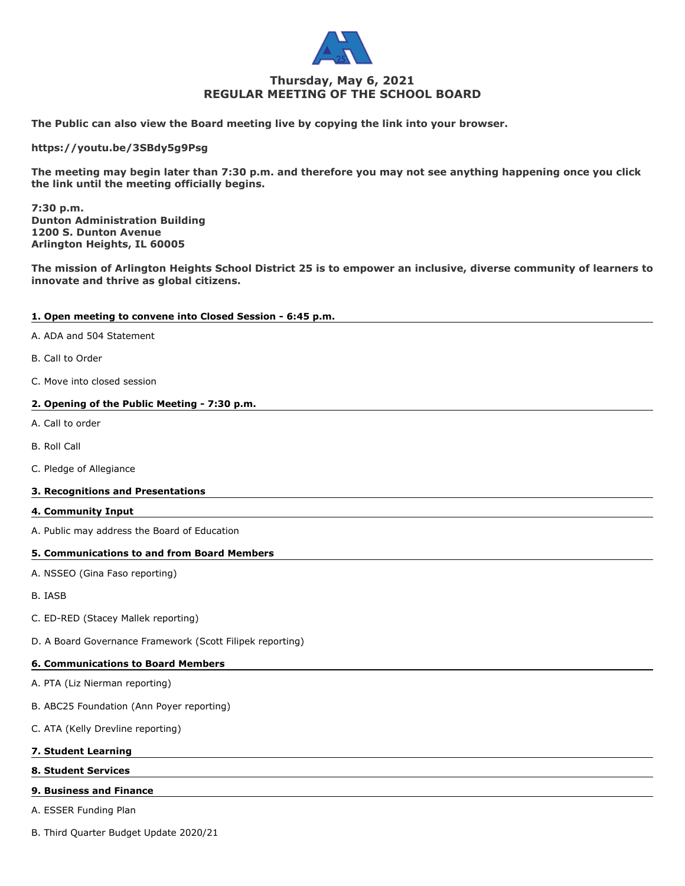

# **Thursday, May 6, 2021 REGULAR MEETING OF THE SCHOOL BOARD**

**The Public can also view the Board meeting live by copying the link into your browser.**

**https://youtu.be/3SBdy5g9Psg**

**The meeting may begin later than 7:30 p.m. and therefore you may not see anything happening once you click the link until the meeting officially begins.**

**7:30 p.m. Dunton Administration Building 1200 S. Dunton Avenue Arlington Heights, IL 60005**

**The mission of Arlington Heights School District 25 is to empower an inclusive, diverse community of learners to innovate and thrive as global citizens.**

### **1. Open meeting to convene into Closed Session - 6:45 p.m.**

- A. ADA and 504 Statement
- B. Call to Order
- C. Move into closed session

# **2. Opening of the Public Meeting - 7:30 p.m.**

- A. Call to order
- B. Roll Call
- C. Pledge of Allegiance

#### **3. Recognitions and Presentations**

#### **4. Community Input**

A. Public may address the Board of Education

### **5. Communications to and from Board Members**

- A. NSSEO (Gina Faso reporting)
- B. IASB
- C. ED-RED (Stacey Mallek reporting)
- D. A Board Governance Framework (Scott Filipek reporting)

#### **6. Communications to Board Members**

- A. PTA (Liz Nierman reporting)
- B. ABC25 Foundation (Ann Poyer reporting)
- C. ATA (Kelly Drevline reporting)

# **7. Student Learning**

# **8. Student Services**

#### **9. Business and Finance**

A. ESSER Funding Plan

B. Third Quarter Budget Update 2020/21